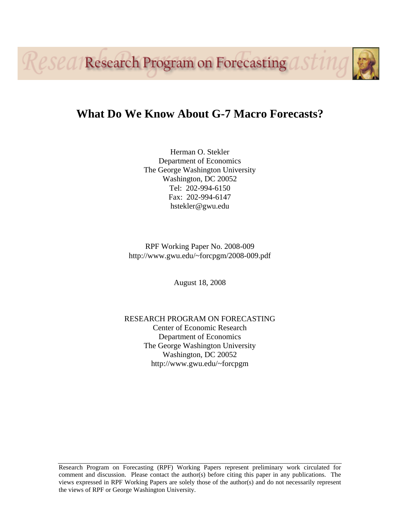**Research Program on Forecasting O** 



Herman O. Stekler Department of Economics The George Washington University Washington, DC 20052 Tel: 202-994-6150 Fax: 202-994-6147 hstekler@gwu.edu

RPF Working Paper No. 2008-009 http://www.gwu.edu/~forcpgm/2008-009.pdf

August 18, 2008

RESEARCH PROGRAM ON FORECASTING Center of Economic Research Department of Economics The George Washington University Washington, DC 20052 http://www.gwu.edu/~forcpgm

Research Program on Forecasting (RPF) Working Papers represent preliminary work circulated for comment and discussion. Please contact the author(s) before citing this paper in any publications. The views expressed in RPF Working Papers are solely those of the author(s) and do not necessarily represent the views of RPF or George Washington University.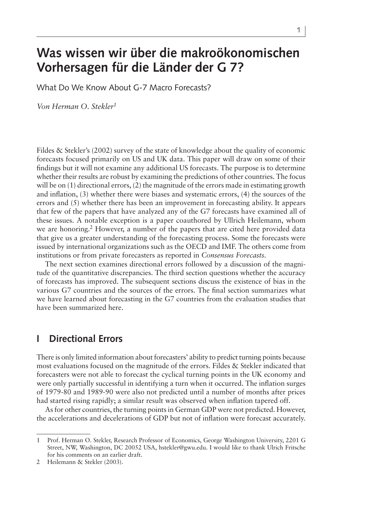# **Was wissen wir über die makroökonomischen Vorhersagen für die Länder der G 7?**

What Do We Know About G-7 Macro Forecasts?

*Von Herman O. Stekler*

Fildes & Stekler's (2002) survey of the state of knowledge about the quality of economic forecasts focused primarily on US and UK data. This paper will draw on some of their findings but it will not examine any additional US forecasts. The purpose is to determine whether their results are robust by examining the predictions of other countries. The focus will be on (1) directional errors, (2) the magnitude of the errors made in estimating growth and inflation, (3) whether there were biases and systematic errors, (4) the sources of the errors and (5) whether there has been an improvement in forecasting ability. It appears that few of the papers that have analyzed any of the G7 forecasts have examined all of these issues. A notable exception is a paper coauthored by Ullrich Heilemann, whom we are honoring.<sup>2</sup> However, a number of the papers that are cited here provided data that give us a greater understanding of the forecasting process. Some the forecasts were issued by international organizations such as the OECD and IMF. The others come from institutions or from private forecasters as reported in *Consensus Forecasts.*

The next section examines directional errors followed by a discussion of the magnitude of the quantitative discrepancies. The third section questions whether the accuracy of forecasts has improved. The subsequent sections discuss the existence of bias in the various G7 countries and the sources of the errors. The final section summarizes what we have learned about forecasting in the G7 countries from the evaluation studies that have been summarized here.

# **I Directional Errors**

There is only limited information about forecasters' ability to predict turning points because most evaluations focused on the magnitude of the errors. Fildes & Stekler indicated that forecasters were not able to forecast the cyclical turning points in the UK economy and were only partially successful in identifying a turn when it occurred. The inflation surges of 1979-80 and 1989-90 were also not predicted until a number of months after prices had started rising rapidly; a similar result was observed when inflation tapered off.

As for other countries, the turning points in German GDP were not predicted. However, the accelerations and decelerations of GDP but not of inflation were forecast accurately.

<sup>1</sup> Prof. Herman O. Stekler, Research Professor of Economics, George Washington University, 2201 G Street, NW, Washington, DC 20052 USA, hstekler@gwu.edu. I would like to thank Ulrich Fritsche for his comments on an earlier draft.

<sup>2</sup> Heilemann & Stekler (2003).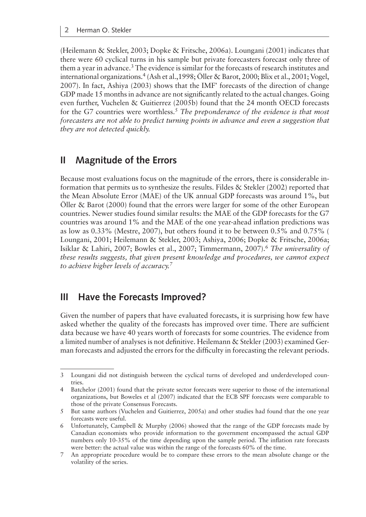(Heilemann & Stekler, 2003; Dopke & Fritsche, 2006a). Loungani (2001) indicates that there were 60 cyclical turns in his sample but private forecasters forecast only three of them a year in advance.3 The evidence is similar for the forecasts of research institutes and international organizations.4 (Ash et al.,1998; Öller & Barot, 2000; Blix et al., 2001; Vogel, 2007). In fact, Ashiya (2003) shows that the IMF' forecasts of the direction of change GDP made 15 months in advance are not significantly related to the actual changes. Going even further, Vuchelen & Guitierrez (2005b) found that the 24 month OECD forecasts for the G7 countries were worthless.5 *The preponderance of the evidence is that most forecasters are not able to predict turning points in advance and even a suggestion that they are not detected quickly.*

# **II Magnitude of the Errors**

Because most evaluations focus on the magnitude of the errors, there is considerable information that permits us to synthesize the results. Fildes & Stekler (2002) reported that the Mean Absolute Error (MAE) of the UK annual GDP forecasts was around 1%, but Öller & Barot (2000) found that the errors were larger for some of the other European countries. Newer studies found similar results: the MAE of the GDP forecasts for the G7 countries was around 1% and the MAE of the one year-ahead inflation predictions was as low as 0.33% (Mestre, 2007), but others found it to be between 0.5% and 0.75% ( Loungani, 2001; Heilemann & Stekler, 2003; Ashiya, 2006; Dopke & Fritsche, 2006a; Isiklar & Lahiri, 2007; Bowles et al., 2007; Timmermann, 2007).6 *The universality of these results suggests, that given present knowledge and procedures, we cannot expect to achieve higher levels of accuracy.*

# **III Have the Forecasts Improved?**

Given the number of papers that have evaluated forecasts, it is surprising how few have asked whether the quality of the forecasts has improved over time. There are sufficient data because we have 40 years worth of forecasts for some countries. The evidence from a limited number of analyses is not definitive. Heilemann & Stekler (2003) examined German forecasts and adjusted the errors for the difficulty in forecasting the relevant periods.

<sup>3</sup> Loungani did not distinguish between the cyclical turns of developed and underdeveloped countries.

<sup>4</sup> Batchelor (2001) found that the private sector forecasts were superior to those of the international organizations, but Boweles et al (2007) indicated that the ECB SPF forecasts were comparable to those of the private Consensus Forecasts.

<sup>5</sup> But same authors (Vuchelen and Guitierrez, 2005a) and other studies had found that the one year forecasts were useful.

<sup>6</sup> Unfortunately, Campbell & Murphy (2006) showed that the range of the GDP forecasts made by Canadian economists who provide information to the government encompassed the actual GDP numbers only 10-35% of the time depending upon the sample period. The inflation rate forecasts were better: the actual value was within the range of the forecasts 60% of the time.

<sup>7</sup> An appropriate procedure would be to compare these errors to the mean absolute change or the volatility of the series.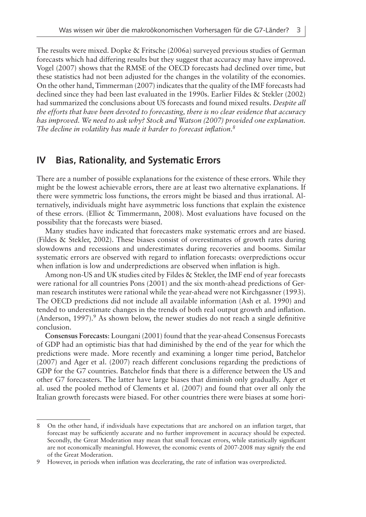The results were mixed. Dopke & Fritsche (2006a) surveyed previous studies of German forecasts which had differing results but they suggest that accuracy may have improved. Vogel (2007) shows that the RMSE of the OECD forecasts had declined over time, but these statistics had not been adjusted for the changes in the volatility of the economies. On the other hand, Timmerman (2007) indicates that the quality of the IMF forecasts had declined since they had been last evaluated in the 1990s. Earlier Fildes & Stekler (2002) had summarized the conclusions about US forecasts and found mixed results. *Despite all the efforts that have been devoted to forecasting, there is no clear evidence that accuracy has improved. We need to ask why? Stock and Watson (2007) provided one explanation. The decline in volatility has made it harder to forecast inflation.*

# **IV Bias, Rationality, and Systematic Errors**

There are a number of possible explanations for the existence of these errors. While they might be the lowest achievable errors, there are at least two alternative explanations. If there were symmetric loss functions, the errors might be biased and thus irrational. Alternatively, individuals might have asymmetric loss functions that explain the existence of these errors. (Elliot & Timmermann, 2008). Most evaluations have focused on the possibility that the forecasts were biased.

Many studies have indicated that forecasters make systematic errors and are biased. (Fildes & Stekler, 2002). These biases consist of overestimates of growth rates during slowdowns and recessions and underestimates during recoveries and booms. Similar systematic errors are observed with regard to inflation forecasts: overpredictions occur when inflation is low and underpredictions are observed when inflation is high.

Among non-US and UK studies cited by Fildes & Stekler, the IMF end of year forecasts were rational for all countries Pons (2001) and the six month-ahead predictions of German research institutes were rational while the year-ahead were not Kirchgassner (1993). The OECD predictions did not include all available information (Ash et al. 1990) and tended to underestimate changes in the trends of both real output growth and inflation. (Anderson, 1997).<sup>9</sup> As shown below, the newer studies do not reach a single definitive conclusion.

**Consensus Forecasts**: Loungani (2001) found that the year-ahead Consensus Forecasts of GDP had an optimistic bias that had diminished by the end of the year for which the predictions were made. More recently and examining a longer time period, Batchelor (2007) and Ager et al. (2007) reach different conclusions regarding the predictions of GDP for the G7 countries. Batchelor finds that there is a difference between the US and other G7 forecasters. The latter have large biases that diminish only gradually. Ager et al. used the pooled method of Clements et al. (2007) and found that over all only the Italian growth forecasts were biased. For other countries there were biases at some hori-

<sup>8</sup> On the other hand, if individuals have expectations that are anchored on an inflation target, that forecast may be sufficiently accurate and no further improvement in accuracy should be expected. Secondly, the Great Moderation may mean that small forecast errors, while statistically significant are not economically meaningful. However, the economic events of 2007-2008 may signify the end of the Great Moderation.

<sup>9</sup> However, in periods when inflation was decelerating, the rate of inflation was overpredicted.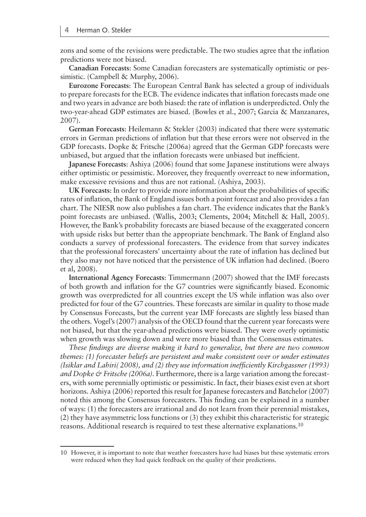zons and some of the revisions were predictable. The two studies agree that the inflation predictions were not biased.

**Canadian Forecasts**: Some Canadian forecasters are systematically optimistic or pessimistic. (Campbell & Murphy, 2006).

**Eurozone Forecasts**: The European Central Bank has selected a group of individuals to prepare forecasts for the ECB. The evidence indicates that inflation forecasts made one and two years in advance are both biased: the rate of inflation is underpredicted. Only the two-year-ahead GDP estimates are biased. (Bowles et al., 2007; Garcia & Manzanares, 2007).

**German Forecasts**: Heilemann & Stekler (2003) indicated that there were systematic errors in German predictions of inflation but that these errors were not observed in the GDP forecasts. Dopke & Fritsche (2006a) agreed that the German GDP forecasts were unbiased, but argued that the inflation forecasts were unbiased but inefficient.

**Japanese Forecasts**: Ashiya (2006) found that some Japanese institutions were always either optimistic or pessimistic. Moreover, they frequently overreact to new information, make excessive revisions and thus are not rational. (Ashiya, 2003).

**UK Forecasts**: In order to provide more information about the probabilities of specific rates of inflation, the Bank of England issues both a point forecast and also provides a fan chart. The NIESR now also publishes a fan chart. The evidence indicates that the Bank's point forecasts are unbiased. (Wallis, 2003; Clements, 2004; Mitchell & Hall, 2005). However, the Bank's probability forecasts are biased because of the exaggerated concern with upside risks but better than the appropriate benchmark. The Bank of England also conducts a survey of professional forecasters. The evidence from that survey indicates that the professional forecasters' uncertainty about the rate of inflation has declined but they also may not have noticed that the persistence of UK inflation had declined. (Boero et al, 2008).

**International Agency Forecasts**: Timmermann (2007) showed that the IMF forecasts of both growth and inflation for the G7 countries were significantly biased. Economic growth was overpredicted for all countries except the US while inflation was also over predicted for four of the G7 countries. These forecasts are similar in quality to those made by Consensus Forecasts, but the current year IMF forecasts are slightly less biased than the others. Vogel's (2007) analysis of the OECD found that the current year forecasts were not biased, but that the year-ahead predictions were biased. They were overly optimistic when growth was slowing down and were more biased than the Consensus estimates.

*These findings are diverse making it hard to generalize, but there are two common themes: (1) forecaster beliefs are persistent and make consistent over or under estimates (Isiklar and Lahiri( 2008), and (2) they use information inefficiently Kirchgassner (1993) and Dopke & Fritsche (2006a).* Furthermore, there is a large variation among the forecasters, with some perennially optimistic or pessimistic. In fact, their biases exist even at short horizons. Ashiya (2006) reported this result for Japanese forecasters and Batchelor (2007) noted this among the Consensus forecasters. This finding can be explained in a number of ways: (1) the forecasters are irrational and do not learn from their perennial mistakes, (2) they have asymmetric loss functions or (3) they exhibit this characteristic for strategic reasons. Additional research is required to test these alternative explanations.<sup>10</sup>

<sup>10</sup> However, it is important to note that weather forecasters have had biases but these systematic errors were reduced when they had quick feedback on the quality of their predictions.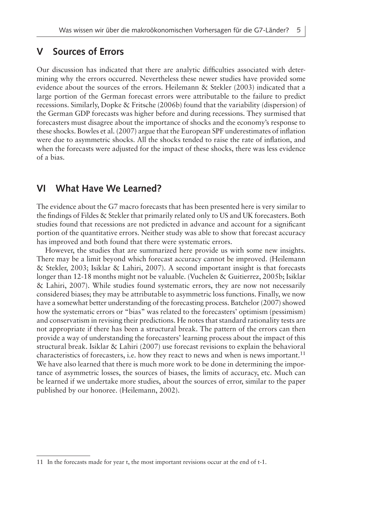#### **V Sources of Errors**

Our discussion has indicated that there are analytic difficulties associated with determining why the errors occurred. Nevertheless these newer studies have provided some evidence about the sources of the errors. Heilemann & Stekler (2003) indicated that a large portion of the German forecast errors were attributable to the failure to predict recessions. Similarly, Dopke & Fritsche (2006b) found that the variability (dispersion) of the German GDP forecasts was higher before and during recessions. They surmised that forecasters must disagree about the importance of shocks and the economy's response to these shocks. Bowles et al. (2007) argue that the European SPF underestimates of inflation were due to asymmetric shocks. All the shocks tended to raise the rate of inflation, and when the forecasts were adjusted for the impact of these shocks, there was less evidence of a bias.

# **VI What Have We Learned?**

The evidence about the G7 macro forecasts that has been presented here is very similar to the findings of Fildes & Stekler that primarily related only to US and UK forecasters. Both studies found that recessions are not predicted in advance and account for a significant portion of the quantitative errors. Neither study was able to show that forecast accuracy has improved and both found that there were systematic errors.

However, the studies that are summarized here provide us with some new insights. There may be a limit beyond which forecast accuracy cannot be improved. (Heilemann & Stekler, 2003; Isiklar & Lahiri, 2007). A second important insight is that forecasts longer than 12-18 months might not be valuable. (Vuchelen & Guitierrez, 2005b; Isiklar & Lahiri, 2007). While studies found systematic errors, they are now not necessarily considered biases; they may be attributable to asymmetric loss functions. Finally, we now have a somewhat better understanding of the forecasting process. Batchelor (2007) showed how the systematic errors or "bias" was related to the forecasters' optimism (pessimism) and conservatism in revising their predictions. He notes that standard rationality tests are not appropriate if there has been a structural break. The pattern of the errors can then provide a way of understanding the forecasters' learning process about the impact of this structural break. Isiklar & Lahiri (2007) use forecast revisions to explain the behavioral characteristics of forecasters, i.e. how they react to news and when is news important.<sup>11</sup> We have also learned that there is much more work to be done in determining the importance of asymmetric losses, the sources of biases, the limits of accuracy, etc. Much can be learned if we undertake more studies, about the sources of error, similar to the paper published by our honoree. (Heilemann, 2002).

<sup>11</sup> In the forecasts made for year t, the most important revisions occur at the end of t-1.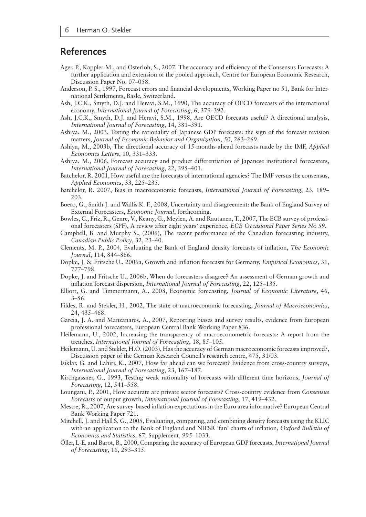# **References**

- Ager. P., Kappler M., and Osterloh, S., 2007. The accuracy and efficiency of the Consensus Forecasts: A further application and extension of the pooled approach, Centre for European Economic Research, Discussion Paper No. 07–058.
- Anderson, P. S., 1997, Forecast errors and financial developments, Working Paper no 51, Bank for International Settlements, Basle, Switzerland.
- Ash, J.C.K., Smyth, D.J. and Heravi, S.M., 1990, The accuracy of OECD forecasts of the international economy, *International Journal of Forecasting*, 6, 379–392.
- Ash, J.C.K., Smyth, D.J. and Heravi, S.M., 1998, Are OECD forecasts useful? A directional analysis, *International Journal of Forecasting*, 14, 381–391.
- Ashiya, M., 2003, Testing the rationality of Japanese GDP forecasts: the sign of the forecast revision matters, *Journal of Economic Behavior and Organization*, 50, 263–269.
- Ashiya, M., 2003b, The directional accuracy of 15-months-ahead forecasts made by the IMF, *Applied Economics Letters*, 10, 331–333.
- Ashiya, M., 2006, Forecast accuracy and product differentiation of Japanese institutional forecasters, *International Journal of Forecasting*, 22, 395–401.
- Batchelor, R. 2001, How useful are the forecasts of international agencies? The IMF versus the consensus, *Applied Economics*, 33, 225–235.
- Batchelor, R. 2007, Bias in macroeconomic forecasts, *International Journal of Forecasting*, 23, 189– 203.
- Boero, G., Smith J. and Wallis K. F., 2008, Uncertainty and disagreement: the Bank of England Survey of External Forecasters, *Economic Journal*, forthcoming.
- Bowles, C., Friz, R., Genre, V., Keany, G., Meylen, A. and Rautanen, T., 2007, The ECB survey of professional forecasters (SPF), A review after eight years' experience, *ECB Occasional Paper Series No 59.*
- Campbell, B. and Murphy S., (2006), The recent performance of the Canadian forecasting industry, *Canadian Public Policy*, 32, 23–40.
- Clements, M. P., 2004, Evaluating the Bank of England density forecasts of inflation, *The Economic Journal*, 114, 844–866.
- Dopke, J. & Fritsche U., 2006a, Growth and inflation forecasts for Germany, *Empirical Economics*, 31, 777–798.
- Dopke, J. and Fritsche U., 2006b, When do forecasters disagree? An assessment of German growth and inflation forecast dispersion, *International Journal of Forecasting*, 22, 125–135.
- Elliott, G. and Timmermann, A., 2008, Economic forecasting, *Journal of Economic Literature*, 46, 3–56.
- Fildes, R. and Stekler, H., 2002, The state of macroeconomic forecasting, *Journal of Macroeconomics*, 24, 435–468.
- Garcia, J. A. and Manzanares, A., 2007, Reporting biases and survey results, evidence from European professional forecasters, European Central Bank Working Paper 836.
- Heilemann, U., 2002, Increasing the transparency of macroeconometric forecasts: A report from the trenches, *International Journal of Forecasting*, 18, 85–105.
- Heilemann, U. and Stekler, H.O. (2003), Has the accuracy of German macroeconomic forecasts improved?, Discussion paper of the German Research Council's research centre, 475, 31/03.
- Isiklar, G. and Lahiri, K., 2007, How far ahead can we forecast? Evidence from cross-country surveys, *International Journal of Forecasting*, 23, 167–187.
- Kirchgassner, G., 1993, Testing weak rationality of forecasts with different time horizons, *Journal of Forecasting*, 12, 541–558.
- Loungani, P., 2001, How accurate are private sector forecasts? Cross-country evidence from *Consensus Forecasts* of output growth, *International Journal of Forecasting*, 17, 419–432.
- Mestre, R., 2007, Are survey-based inflation expectations in the Euro area informative? European Central Bank Working Paper 721.
- Mitchell, J. and Hall S. G., 2005, Evaluating, comparing, and combining density forecasts using the KLIC with an application to the Bank of England and NIESR 'fan' charts of inflation, *Oxford Bulletin of Economics and Statistics,* 67, Supplement, 995–1033.
- Öller, L-E. and Barot, B., 2000, Comparing the accuracy of European GDP forecasts, *International Journal of Forecasting*, 16, 293–315.